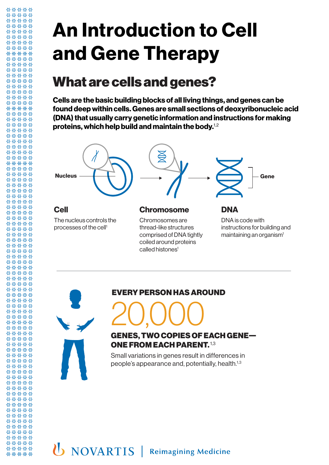# **An Introduction to Cell and Gene Therapy**

## What are cells and genes?

**Cells are the basic building blocks of all living things, and genes can be found deep within cells. Genes are small sections of deoxyribonucleic acid (DNA) that usually carry genetic information and instructions for making proteins, which help build and maintain the body.**1,2





\*\*\*\*\* 88888

88888 \*\*\*\*\* 88888 \*\*\*\*\* 88888 88888 \*\*\*\*\* \*\*\*\*\* 88888 00000 \*\*\*\*\* \*\*\*\*\* \*\*\*\*\* 00000 \*\*\*\*\* 88888 88888 88888 \*\*\*\*\* \*\*\*\*\* \*\*\*\*\* 00000 \*\*\*\*\* \*\*\*\*\* \*\*\*\*\* \*\*\*\*\* 88888 \*\*\*\*\* 88888 88888 \*\*\*\*\* \*\*\*\*\* 88888 \*\*\*\*\* \*\*\*\*\* \*\*\*\*\* \*\*\*\*\* \*\*\*\*\* \*\*\*\*\* 88888 88888 00000 88888 00000 \*\*\*\*\* \*\*\*\*\* \*\*\*\*\* \*\*\*\*\* \*\*\*\*\* \*\*\*\*\* 88888 \*\*\*\*\* 88888 \*\*\*\*\* 88888 \*\*\*\*\* 88888 \*\*\*\*\* \*\*\*\*\* \*\*\*\*\* 88888 00000 \*\*\*\*\* 88888 \*\*\*\*\* 00000 \*\*\*\*\* \*\*\*\*\* \*\*\*\*\* 00000 \*\*\*\*\* \*\*\*\*\* 88888 \*\*\*\*\* 88888 \*\*\*\*\* \*\*\*\*\* \*\*\*\*\* 00000 \*\*\*\*\*

#### EVERY PERSON HAS AROUND

# 20,000

#### GENES, TWO COPIES OF EACH GENE— ONE FROM EACH PARENT. 1,3

Small variations in genes result in differences in people's appearance and, potentially, health.<sup>1,3</sup>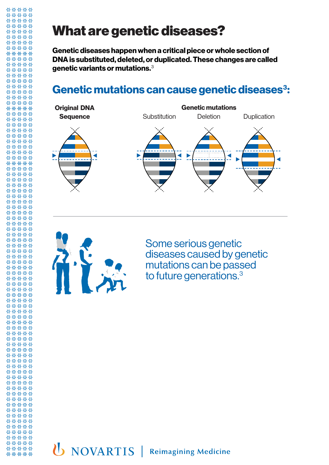# What are genetic diseases?

**Genetic diseases happen when a critical piece or whole section of DNA is substituted, deleted, or duplicated. These changes are called genetic variants or mutations.**<sup>3</sup>

#### Genetic mutations can cause genetic diseases<sup>3</sup>:





88888 \*\*\*\*\* \*\*\*\*\* \*\*\*\*\* \*\*\*\*\* \*\*\*\*\* \*\*\*\*\* \*\*\*\*\* 88888 00000 \*\*\*\*\* \*\*\*\*\* \*\*\*\*\* 00000 \*\*\*\*\* \*\*\*\*\* 88888 00000 \*\*\*\*\* \*\*\*\*\* \*\*\*\*\* \*\*\*\*\* \*\*\*\*\* \*\*\*\*\* \*\*\*\*\* \*\*\*\*\* 88888

\*\*\*\*\*

88888 \*\*\*\*\* \*\*\*\*\* \*\*\*\*\* **AAAAA** \*\*\*\*\* \*\*\*\*\* \*\*\*\*\* \*\*\*\*\* \*\*\*\*\* \*\*\*\*\* \*\*\*\*\* 88888 00000 \*\*\*\*\* \*\*\*\*\* \*\*\*\*\* \*\*\*\*\* \*\*\*\*\* \*\*\*\*\* \*\*\*\*\* \*\*\*\*\* 88888 \*\*\*\*\* 88888 \*\*\*\*\* 88888 \*\*\*\*\* 00000 \*\*\*\*\* \*\*\*\*\* \*\*\*\*\* \*\*\*\*\* 00000 \*\*\*\*\* 88888 \*\*\*\*\* 00000 \*\*\*\*\* **BBBBB** \*\*\*\*\* \*\*\*\*\* \*\*\*\*\* \*\*\*\*\* 88888 \*\*\*\*\* 88888 \*\*\*\*\* \*\*\*\*\* \*\*\*\*\* \*\*\*\*\* \*\*\*\*\*

\*\*\*\*\* 88888

Some serious genetic diseases caused by genetic mutations can be passed to future generations.<sup>3</sup>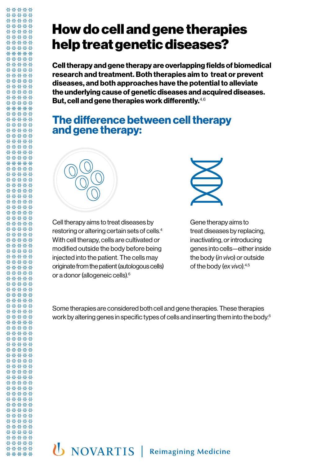### How do cell and gene therapies help treat genetic diseases?

**Cell therapy and gene therapy are overlapping fields of biomedical research and treatment. Both therapies aim to treat or prevent diseases, and both approaches have the potential to alleviate the underlying cause of genetic diseases and acquired diseases. But, cell and gene therapies work differently.**4,6

#### **The difference between cell therapy and gene therapy:**



Cell therapy aims to treat diseases by restoring or altering certain sets of cells.4 With cell therapy, cells are cultivated or modified outside the body before being injected into the patient. The cells may originate from the patient (autologous cells) or a donor (allogeneic cells).6



Gene therapy aims to treat diseases by replacing, inactivating, or introducing genes into cells—either inside the body (*in vivo*) or outside of the body (*ex vivo*).4,5

Some therapies are considered both cell and gene therapies. These therapies work by altering genes in specific types of cells and inserting them into the body.6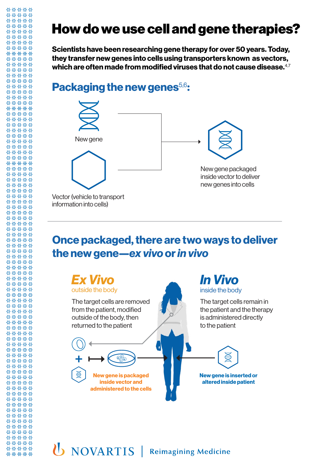# How do we use cell and gene therapies?

**Scientists have been researching gene therapy for over 50 years. Today, they transfer new genes into cells using transporters known as vectors, which are often made from modified viruses that do not cause disease.**4,7

#### **Packaging the new genes<sup>5,6</sup>:**

88888 \*\*\*\*\* 88888 \*\*\*\*\* 88888 88888 \*\*\*\*\* \*\*\*\*\* 88888 00000 \*\*\*\*\* \*\*\*\*\* 88888 00000 \*\*\*\*\* 88888 88888 88888 \*\*\*\*\* \*\*\*\*\* \*\*\*\*\* 00000 \*\*\*\*\* \*\*\*\*\* \*\*\*\*\* \*\*\*\*\* 88888 \*\*\*\*\* 88888 88888 88888 \*\*\*\*\* 88888 \*\*\*\*\* \*\*\*\*\* \*\*\*\*\* \*\*\*\*\* \*\*\*\*\* \*\*\*\*\* 88888 88888 00000 88888 88888 \*\*\*\*\* \*\*\*\*\* \*\*\*\*\* \*\*\*\*\* 88888 \*\*\*\*\* 88888 \*\*\*\*\* 88888 \*\*\*\*\* 88888 \*\*\*\*\* 88888 \*\*\*\*\* \*\*\*\*\* \*\*\*\*\* 88888 00000

\*\*\*\*\* 88888 \*\*\*\*\* 00000 \*\*\*\*\* \*\*\*\*\* \*\*\*\*\* 00000 \*\*\*\*\* \*\*\*\*\* 88888 \*\*\*\*\* 88888 \*\*\*\*\* \*\*\*\*\* \*\*\*\*\* \*\*\*\*\* \*\*\*\*\*

\*\*\*\*\* 88888



#### **Once packaged, there are two ways to deliver the new gene—***ex vivo* **or** *in vivo*